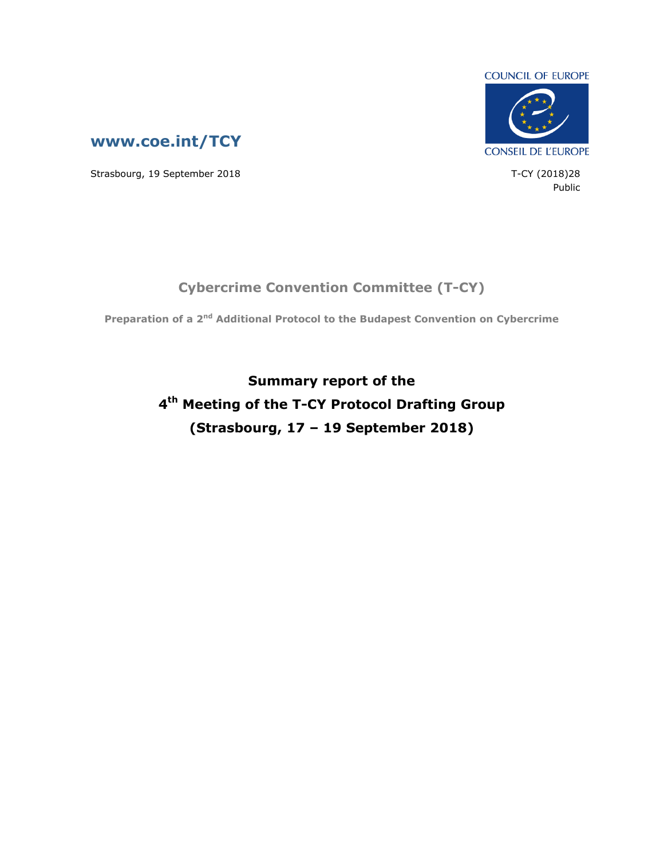

Public



Strasbourg, 19 September 2018 1888 1991 12:30 13:30 T-CY (2018)28

## **Cybercrime Convention Committee (T-CY)**

**Preparation of a 2nd Additional Protocol to the Budapest Convention on Cybercrime**

**Summary report of the 4 th Meeting of the T-CY Protocol Drafting Group (Strasbourg, 17 – 19 September 2018)**